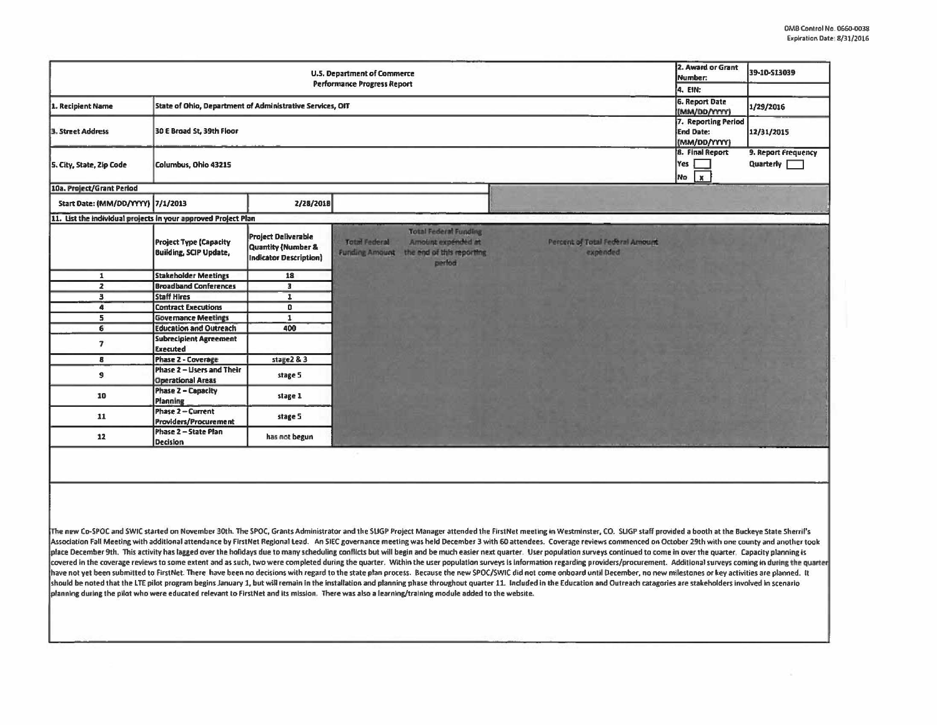$\sim$ 

|                                                                                | 2. Award or Grant<br>Number:                                   | 39-10-513039                                                                                 |                                                                                                                                                                                                                                                                                                                                                                                                                                                                                                                                                                                                                                                                                                                                                                                                                                                                                                                                |                                                      |                                                    |
|--------------------------------------------------------------------------------|----------------------------------------------------------------|----------------------------------------------------------------------------------------------|--------------------------------------------------------------------------------------------------------------------------------------------------------------------------------------------------------------------------------------------------------------------------------------------------------------------------------------------------------------------------------------------------------------------------------------------------------------------------------------------------------------------------------------------------------------------------------------------------------------------------------------------------------------------------------------------------------------------------------------------------------------------------------------------------------------------------------------------------------------------------------------------------------------------------------|------------------------------------------------------|----------------------------------------------------|
|                                                                                | 4. EIN:<br>6. Report Date                                      |                                                                                              |                                                                                                                                                                                                                                                                                                                                                                                                                                                                                                                                                                                                                                                                                                                                                                                                                                                                                                                                |                                                      |                                                    |
| State of Ohio, Department of Administrative Services, OIT<br>1. Recipient Name |                                                                |                                                                                              |                                                                                                                                                                                                                                                                                                                                                                                                                                                                                                                                                                                                                                                                                                                                                                                                                                                                                                                                |                                                      | 1/29/2016                                          |
| 3. Street Address                                                              | 30 E Broad St, 39th Floor                                      | 7. Reporting Period<br><b>End Date:</b><br>(MM/DD/YYYY)                                      | 12/31/2015                                                                                                                                                                                                                                                                                                                                                                                                                                                                                                                                                                                                                                                                                                                                                                                                                                                                                                                     |                                                      |                                                    |
| S. City, State, Zip Code                                                       | Columbus, Ohio 43215                                           |                                                                                              |                                                                                                                                                                                                                                                                                                                                                                                                                                                                                                                                                                                                                                                                                                                                                                                                                                                                                                                                | <b>8. Final Report</b><br>Yes<br>No.<br>$\mathbf{x}$ | 9. Report Frequency<br>Quarterly <b>The Street</b> |
| 10a. Project/Grant Period                                                      |                                                                |                                                                                              |                                                                                                                                                                                                                                                                                                                                                                                                                                                                                                                                                                                                                                                                                                                                                                                                                                                                                                                                |                                                      |                                                    |
| Start Date: (MM/DD/YYYY) 7/1/2013                                              |                                                                | 2/28/2018                                                                                    |                                                                                                                                                                                                                                                                                                                                                                                                                                                                                                                                                                                                                                                                                                                                                                                                                                                                                                                                |                                                      |                                                    |
| 11. List the individual projects in your approved Project Plan                 |                                                                |                                                                                              |                                                                                                                                                                                                                                                                                                                                                                                                                                                                                                                                                                                                                                                                                                                                                                                                                                                                                                                                |                                                      |                                                    |
|                                                                                | <b>Project Type (Capacity</b><br><b>Building, SCIP Update,</b> | <b>Project Deliverable</b><br><b>Quantity (Number &amp;</b><br><b>Indicator Description)</b> | <b>Total Federal Funding</b><br><b>Total Federal</b><br>Arnount expended at<br>Percent of Total Federal Amount<br>the end of this reporting<br>expended<br><b>Funding Amount</b><br>perfod                                                                                                                                                                                                                                                                                                                                                                                                                                                                                                                                                                                                                                                                                                                                     |                                                      |                                                    |
| $\mathbf{1}$                                                                   | <b>Stakeholder Meetings</b>                                    | 18                                                                                           |                                                                                                                                                                                                                                                                                                                                                                                                                                                                                                                                                                                                                                                                                                                                                                                                                                                                                                                                |                                                      |                                                    |
| $\mathbf{z}$                                                                   | <b>Broadband Conferences</b>                                   | $\overline{3}$                                                                               |                                                                                                                                                                                                                                                                                                                                                                                                                                                                                                                                                                                                                                                                                                                                                                                                                                                                                                                                |                                                      |                                                    |
| $\overline{\mathbf{3}}$                                                        | <b>Staff Hires</b>                                             | $\mathbf{r}$                                                                                 |                                                                                                                                                                                                                                                                                                                                                                                                                                                                                                                                                                                                                                                                                                                                                                                                                                                                                                                                |                                                      |                                                    |
| $\bullet$                                                                      | <b>Contract Executions</b>                                     | $\overline{a}$                                                                               |                                                                                                                                                                                                                                                                                                                                                                                                                                                                                                                                                                                                                                                                                                                                                                                                                                                                                                                                |                                                      |                                                    |
| $\overline{\mathbf{5}}$<br>6                                                   | <b>Governance Meetings</b><br><b>Education and Outreach</b>    | $\overline{1}$<br>400                                                                        |                                                                                                                                                                                                                                                                                                                                                                                                                                                                                                                                                                                                                                                                                                                                                                                                                                                                                                                                |                                                      |                                                    |
|                                                                                | <b>Subrecipient Agreement</b>                                  |                                                                                              |                                                                                                                                                                                                                                                                                                                                                                                                                                                                                                                                                                                                                                                                                                                                                                                                                                                                                                                                |                                                      |                                                    |
| $\overline{ }$                                                                 | <b>Executed</b>                                                |                                                                                              |                                                                                                                                                                                                                                                                                                                                                                                                                                                                                                                                                                                                                                                                                                                                                                                                                                                                                                                                |                                                      |                                                    |
| 8                                                                              | <b>Phase 2 - Coverage</b>                                      | stage2 & 3                                                                                   |                                                                                                                                                                                                                                                                                                                                                                                                                                                                                                                                                                                                                                                                                                                                                                                                                                                                                                                                |                                                      |                                                    |
| 9                                                                              | Phase 2 - Users and Their<br><b>Operational Areas</b>          | stage 5                                                                                      |                                                                                                                                                                                                                                                                                                                                                                                                                                                                                                                                                                                                                                                                                                                                                                                                                                                                                                                                |                                                      |                                                    |
| 10                                                                             | <b>Phase 2 - Capacity</b><br>Planning                          | stage 1                                                                                      |                                                                                                                                                                                                                                                                                                                                                                                                                                                                                                                                                                                                                                                                                                                                                                                                                                                                                                                                |                                                      |                                                    |
| 11                                                                             | Phase 2 - Current<br>Providers/Procurement                     | stage 5                                                                                      |                                                                                                                                                                                                                                                                                                                                                                                                                                                                                                                                                                                                                                                                                                                                                                                                                                                                                                                                |                                                      |                                                    |
| 12                                                                             | Phase 2 - State Plan<br>Decision                               | has not begun                                                                                |                                                                                                                                                                                                                                                                                                                                                                                                                                                                                                                                                                                                                                                                                                                                                                                                                                                                                                                                |                                                      |                                                    |
|                                                                                |                                                                |                                                                                              | The new Co-SPOC and SWIC started on November 30th. The SPOC, Grants Administrator and the SUGP Project Manager attended the FirstNet meeting in Westminster, CO. SUGP staff provided a booth at the Buckeye State Sherril's<br>Association Fall Meeting with additional attendance by FirstNet Regional Lead. An SIEC governance meeting was held December 3 with 60 attendees. Coverage reviews commenced on October 29th with one county and another took<br>place December 9th. This activity has lagged over the holidays due to many scheduling conflicts but will begin and be much easier next quarter. User population surveys continued to come in over the quarter. Copacity planni<br>covered in the coverage reviews to some extent and as such, two were completed during the quarter. Within the user population surveys is information regarding providers/procurement. Additional surveys coming in during the |                                                      |                                                    |
|                                                                                |                                                                |                                                                                              | have not yet been submitted to FirstNet. There have been no decisions with regard to the state plan process. Because the new SPOC/SWIC did not come onboard until December, no new milestones or key activities are planned. I<br>should be noted that the LTE pilot program begins January 1, but will remain in the installation and planning phase throughout quarter 11. Included in the Education and Outreach catagories are stakeholders involved in scen<br>planning during the pilot who were educated relevant to FirstNet and its mission. There was also a learning/training module added to the website.                                                                                                                                                                                                                                                                                                          |                                                      |                                                    |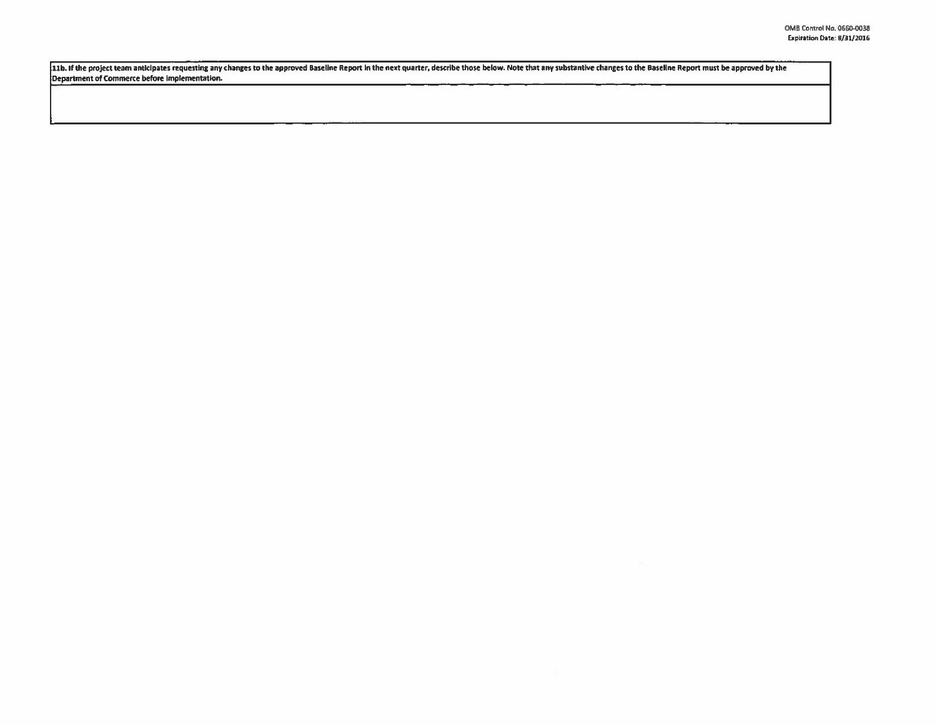11b. If the project team anticipates requesting any changes to the approved Baseline Report in the next quarter, describe those below. Note that any substantive changes to the Baseline Report must be approved by the Department of Commerce before Implementation.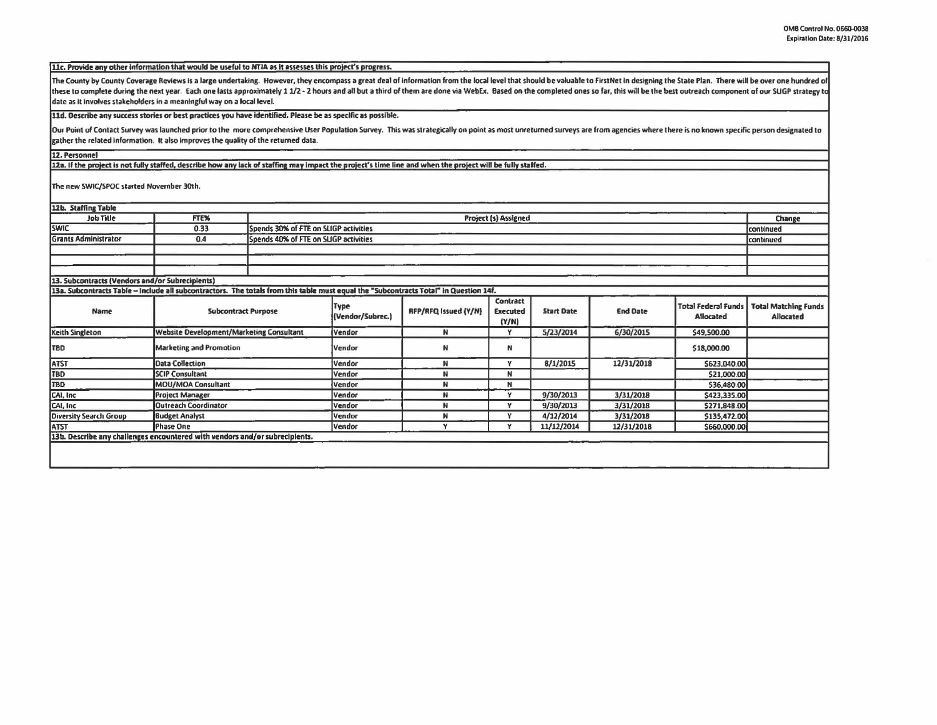11c. Provide any other information that would be useful to NTIA as it assesses this project's progress.

The County by County Coverage Reviews is a large undertaking. However, they encompass a great deal of information from the local level that should be valuable to FirstNet in designing the State Plan. There will be over one these to complete during the next year. Each one lasts approximately 1 1/2 - 2 hours and all but a third of them are done via WebEx. Based on the completed ones so far, this will be the best outreach component of our SLIGP date as it involves stakeholders in a meaningful way on a local level.

11d. Describe any success stories or best practices you have identified. Please be as specific as possible.

Our Point of Contact Survey was launched prior to the more comprehensive User Population Survey. This was strategically on point as most unreturned surveys are from agencies where there is no known specific person designat gather the related information. It also improves the quality of the returned data.

12. Personnel

12a. If the project is not fully staffed, describe how any lack of staffing may impact the project's time line and when the project will be fully staffed.

The new SWIC/SPOC started November 30th.

| 12b. Staffing Table                                                                                                                    |                                                 |                                       |                          |                      |                                      |                   |                 |                                                |                                          |
|----------------------------------------------------------------------------------------------------------------------------------------|-------------------------------------------------|---------------------------------------|--------------------------|----------------------|--------------------------------------|-------------------|-----------------|------------------------------------------------|------------------------------------------|
| <b>Job Title</b>                                                                                                                       | FTE%                                            | Project (s) Assigned                  |                          |                      |                                      |                   |                 |                                                | Change                                   |
| <b>SWIC</b>                                                                                                                            | 0.33                                            | Spends 30% of FTE on SLIGP activities |                          |                      |                                      |                   |                 |                                                | continued                                |
| <b>Grants Administrator</b>                                                                                                            | Spends 40% of FTE on SLIGP activities<br>0.4    |                                       |                          |                      |                                      |                   |                 |                                                | continued                                |
|                                                                                                                                        |                                                 |                                       |                          |                      |                                      |                   |                 |                                                |                                          |
|                                                                                                                                        |                                                 |                                       |                          |                      |                                      |                   |                 |                                                |                                          |
|                                                                                                                                        |                                                 |                                       |                          |                      |                                      |                   |                 |                                                |                                          |
| 13. Subcontracts (Vendors and/or Subrecipients)                                                                                        |                                                 |                                       |                          |                      |                                      |                   |                 |                                                |                                          |
| 13a. Subcontracts Table -- Include all subcontractors. The totals from this table must equal the "Subcontracts Total" in Question 14f. |                                                 |                                       |                          |                      |                                      |                   |                 |                                                |                                          |
| Name                                                                                                                                   | <b>Subcontract Purpose</b>                      |                                       | Type<br>(Vendor/Subrec.) | RFP/RFQ Issued (Y/N) | Contract<br><b>Executed</b><br>(Y/N) | <b>Start Date</b> | <b>End Date</b> | <b>Total Federal Funds</b><br><b>Allocated</b> | <b>Total Matching Funds</b><br>Allocated |
| Keith Singleton                                                                                                                        | <b>Website Development/Marketing Consultant</b> |                                       | Vendor                   | N                    | Y                                    | 5/23/2014         | 6/30/2015       | \$49,500.00                                    |                                          |
| <b>TBD</b>                                                                                                                             | <b>Marketing and Promotion</b>                  |                                       | Vendor                   | N                    | N                                    |                   |                 | \$18,000.00                                    |                                          |
| <b>ATST</b>                                                                                                                            | <b>Data Collection</b>                          |                                       | Vendor                   | N                    | v                                    | 8/1/2015          | 12/31/2018      | \$623,040.00                                   |                                          |
| TBD                                                                                                                                    | <b>SCIP Consultant</b>                          |                                       | Vendor                   | N                    | N                                    |                   |                 | \$21,000.00                                    |                                          |
| <b>TBD</b>                                                                                                                             | MOU/MOA Consultant                              |                                       | Vendor                   | N                    | N                                    |                   |                 | \$36,480.00                                    |                                          |
| CAI, Inc.                                                                                                                              | <b>Project Manager</b>                          |                                       | Vendor                   | N                    | Y                                    | 9/30/2013         | 3/31/2018       | \$423,335.00                                   |                                          |
| CAI, Inc                                                                                                                               | <b>Outreach Coordinator</b>                     |                                       | Vendor                   | N                    | v                                    | 9/30/2013         | 3/31/2018       | \$271,848.00                                   |                                          |
| <b>Diversity Search Group</b>                                                                                                          | <b>Budget Analyst</b>                           |                                       | Vendor                   | N                    | $\mathbf{v}$                         | 4/12/2014         | 3/31/2018       | \$135,472.00                                   |                                          |
| <b>ATST</b>                                                                                                                            | Phase One                                       |                                       | Vendor                   | $\mathbf v$          | v                                    | 11/12/2014        | 12/31/2018      | \$660,000.00                                   |                                          |
| 13b. Describe any challenges encountered with vendors and/or subrecipients.                                                            |                                                 |                                       |                          |                      |                                      |                   |                 |                                                |                                          |
|                                                                                                                                        |                                                 |                                       |                          |                      |                                      |                   |                 |                                                |                                          |